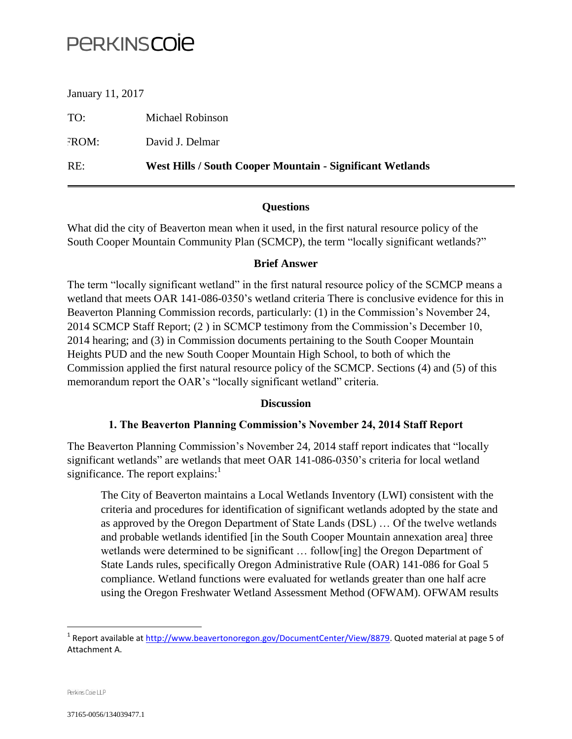# **PERKINSCOIE**

January 11, 2017

TO: Michael Robinson FROM: David J. Delmar RE: **West Hills / South Cooper Mountain - Significant Wetlands**

## **Questions**

What did the city of Beaverton mean when it used, in the first natural resource policy of the South Cooper Mountain Community Plan (SCMCP), the term "locally significant wetlands?"

### **Brief Answer**

The term "locally significant wetland" in the first natural resource policy of the SCMCP means a wetland that meets OAR 141-086-0350's wetland criteria There is conclusive evidence for this in Beaverton Planning Commission records, particularly: (1) in the Commission's November 24, 2014 SCMCP Staff Report; (2 ) in SCMCP testimony from the Commission's December 10, 2014 hearing; and (3) in Commission documents pertaining to the South Cooper Mountain Heights PUD and the new South Cooper Mountain High School, to both of which the Commission applied the first natural resource policy of the SCMCP. Sections (4) and (5) of this memorandum report the OAR's "locally significant wetland" criteria.

#### **Discussion**

### **1. The Beaverton Planning Commission's November 24, 2014 Staff Report**

The Beaverton Planning Commission's November 24, 2014 staff report indicates that "locally significant wetlands" are wetlands that meet OAR 141-086-0350's criteria for local wetland significance. The report explains: $<sup>1</sup>$ </sup>

The City of Beaverton maintains a Local Wetlands Inventory (LWI) consistent with the criteria and procedures for identification of significant wetlands adopted by the state and as approved by the Oregon Department of State Lands (DSL) … Of the twelve wetlands and probable wetlands identified [in the South Cooper Mountain annexation area] three wetlands were determined to be significant ... follow[ing] the Oregon Department of State Lands rules, specifically Oregon Administrative Rule (OAR) 141-086 for Goal 5 compliance. Wetland functions were evaluated for wetlands greater than one half acre using the Oregon Freshwater Wetland Assessment Method (OFWAM). OFWAM results

<sup>&</sup>lt;sup>1</sup> Report available at <u>http://www.beavertonoregon.gov/DocumentCenter/View/8879</u>. Quoted material at page 5 of Attachment A.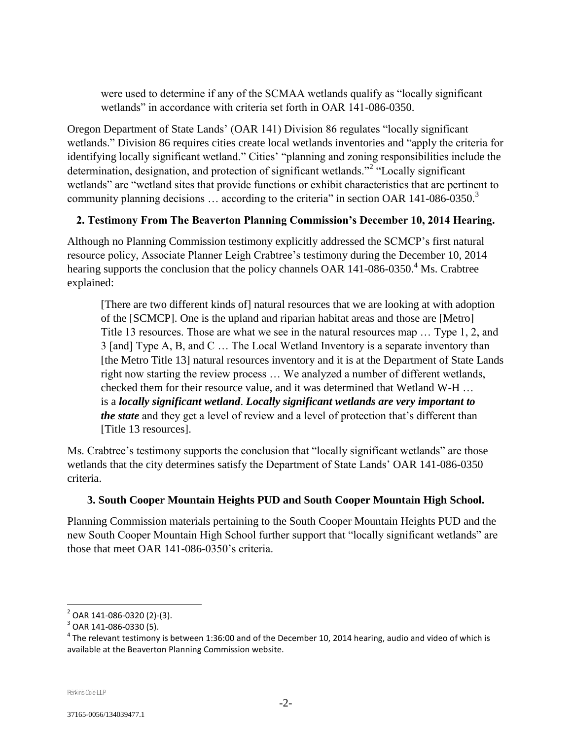were used to determine if any of the SCMAA wetlands qualify as "locally significant wetlands" in accordance with criteria set forth in OAR 141-086-0350.

Oregon Department of State Lands' (OAR 141) Division 86 regulates "locally significant wetlands." Division 86 requires cities create local wetlands inventories and "apply the criteria for identifying locally significant wetland." Cities' "planning and zoning responsibilities include the determination, designation, and protection of significant wetlands."<sup>2</sup> "Locally significant wetlands" are "wetland sites that provide functions or exhibit characteristics that are pertinent to community planning decisions  $\ldots$  according to the criteria" in section OAR 141-086-0350.<sup>3</sup>

## **2. Testimony From The Beaverton Planning Commission's December 10, 2014 Hearing.**

Although no Planning Commission testimony explicitly addressed the SCMCP's first natural resource policy, Associate Planner Leigh Crabtree's testimony during the December 10, 2014 hearing supports the conclusion that the policy channels OAR 141-086-0350.<sup>4</sup> Ms. Crabtree explained:

[There are two different kinds of] natural resources that we are looking at with adoption of the [SCMCP]. One is the upland and riparian habitat areas and those are [Metro] Title 13 resources. Those are what we see in the natural resources map … Type 1, 2, and 3 [and] Type A, B, and C … The Local Wetland Inventory is a separate inventory than [the Metro Title 13] natural resources inventory and it is at the Department of State Lands right now starting the review process … We analyzed a number of different wetlands, checked them for their resource value, and it was determined that Wetland W-H … is a *locally significant wetland*. *Locally significant wetlands are very important to the state* and they get a level of review and a level of protection that's different than [Title 13 resources].

Ms. Crabtree's testimony supports the conclusion that "locally significant wetlands" are those wetlands that the city determines satisfy the Department of State Lands' OAR 141-086-0350 criteria.

## **3. South Cooper Mountain Heights PUD and South Cooper Mountain High School.**

Planning Commission materials pertaining to the South Cooper Mountain Heights PUD and the new South Cooper Mountain High School further support that "locally significant wetlands" are those that meet OAR 141-086-0350's criteria.

<sup>&</sup>lt;sup>2</sup> OAR 141-086-0320 (2)-(3).

 $^3$  OAR 141-086-0330 (5).

 $^4$  The relevant testimony is between 1:36:00 and of the December 10, 2014 hearing, audio and video of which is available at the Beaverton Planning Commission website.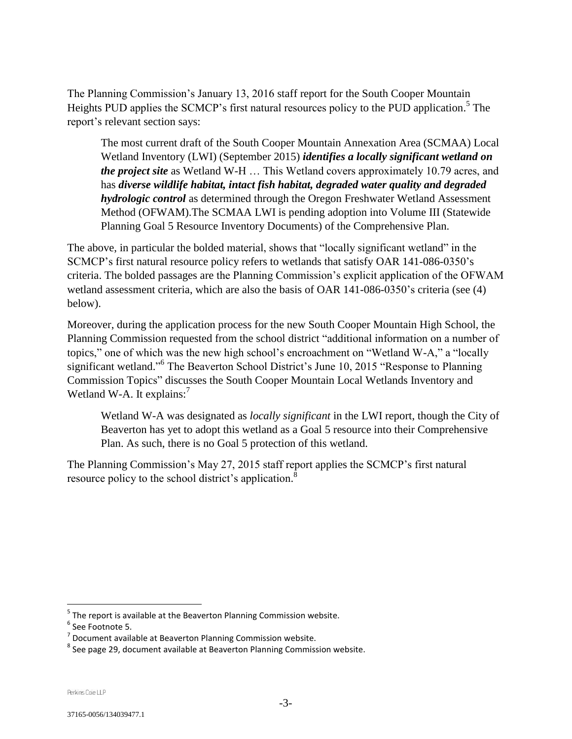The Planning Commission's January 13, 2016 staff report for the South Cooper Mountain Heights PUD applies the SCMCP's first natural resources policy to the PUD application.<sup>5</sup> The report's relevant section says:

The most current draft of the South Cooper Mountain Annexation Area (SCMAA) Local Wetland Inventory (LWI) (September 2015) *identifies a locally significant wetland on the project site* as Wetland W-H … This Wetland covers approximately 10.79 acres, and has *diverse wildlife habitat, intact fish habitat, degraded water quality and degraded hydrologic control* as determined through the Oregon Freshwater Wetland Assessment Method (OFWAM).The SCMAA LWI is pending adoption into Volume III (Statewide Planning Goal 5 Resource Inventory Documents) of the Comprehensive Plan.

The above, in particular the bolded material, shows that "locally significant wetland" in the SCMCP's first natural resource policy refers to wetlands that satisfy OAR 141-086-0350's criteria. The bolded passages are the Planning Commission's explicit application of the OFWAM wetland assessment criteria, which are also the basis of OAR 141-086-0350's criteria (see (4) below).

Moreover, during the application process for the new South Cooper Mountain High School, the Planning Commission requested from the school district "additional information on a number of topics," one of which was the new high school's encroachment on "Wetland W-A," a "locally significant wetland."<sup>6</sup> The Beaverton School District's June 10, 2015 "Response to Planning Commission Topics" discusses the South Cooper Mountain Local Wetlands Inventory and Wetland W-A. It explains: $^7$ 

Wetland W-A was designated as *locally significant* in the LWI report, though the City of Beaverton has yet to adopt this wetland as a Goal 5 resource into their Comprehensive Plan. As such, there is no Goal 5 protection of this wetland.

The Planning Commission's May 27, 2015 staff report applies the SCMCP's first natural resource policy to the school district's application.<sup>8</sup>

<sup>&</sup>lt;sup>5</sup> The report is available at the Beaverton Planning Commission website.

<sup>&</sup>lt;sup>6</sup> See Footnote 5.

 $<sup>7</sup>$  Document available at Beaverton Planning Commission website.</sup>

 $^8$  See page 29, document available at Beaverton Planning Commission website.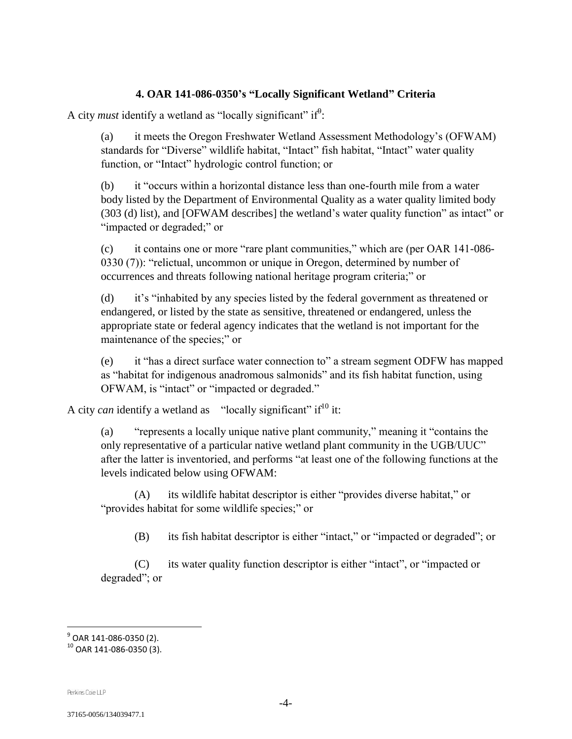#### **4. OAR 141-086-0350's "Locally Significant Wetland" Criteria**

A city *must* identify a wetland as "locally significant" if  $\theta$ :

(a) it meets the Oregon Freshwater Wetland Assessment Methodology's (OFWAM) standards for "Diverse" wildlife habitat, "Intact" fish habitat, "Intact" water quality function, or "Intact" hydrologic control function; or

(b) it "occurs within a horizontal distance less than one-fourth mile from a water body listed by the Department of Environmental Quality as a water quality limited body (303 (d) list), and [OFWAM describes] the wetland's water quality function" as intact" or "impacted or degraded;" or

(c) it contains one or more "rare plant communities," which are (per OAR 141-086- 0330 (7)): "relictual, uncommon or unique in Oregon, determined by number of occurrences and threats following national heritage program criteria;" or

(d) it's "inhabited by any species listed by the federal government as threatened or endangered, or listed by the state as sensitive, threatened or endangered, unless the appropriate state or federal agency indicates that the wetland is not important for the maintenance of the species;" or

(e) it "has a direct surface water connection to" a stream segment ODFW has mapped as "habitat for indigenous anadromous salmonids" and its fish habitat function, using OFWAM, is "intact" or "impacted or degraded."

A city *can* identify a wetland as "locally significant" if<sup>10</sup> it:

(a) "represents a locally unique native plant community," meaning it "contains the only representative of a particular native wetland plant community in the UGB/UUC" after the latter is inventoried, and performs "at least one of the following functions at the levels indicated below using OFWAM:

(A) its wildlife habitat descriptor is either "provides diverse habitat," or "provides habitat for some wildlife species;" or

(B) its fish habitat descriptor is either "intact," or "impacted or degraded"; or

(C) its water quality function descriptor is either "intact", or "impacted or degraded"; or

Perkins Coie LLP

<sup>&</sup>lt;sup>9</sup> OAR 141-086-0350 (2).

 $10$  OAR 141-086-0350 (3).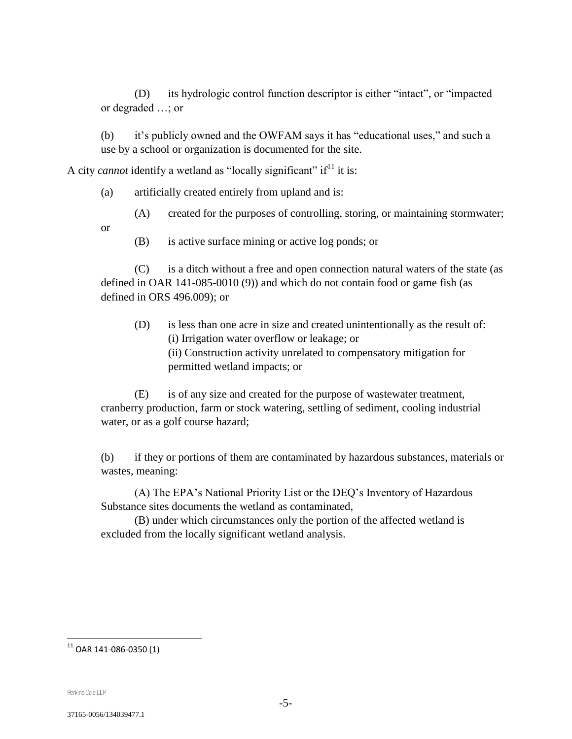(D) its hydrologic control function descriptor is either "intact", or "impacted or degraded …; or

(b) it's publicly owned and the OWFAM says it has "educational uses," and such a use by a school or organization is documented for the site.

A city *cannot* identify a wetland as "locally significant" if<sup>11</sup> it is:

(a) artificially created entirely from upland and is:

(A) created for the purposes of controlling, storing, or maintaining stormwater;

- or
- (B) is active surface mining or active log ponds; or

(C) is a ditch without a free and open connection natural waters of the state (as defined in OAR 141-085-0010 (9)) and which do not contain food or game fish (as defined in ORS 496.009); or

(D) is less than one acre in size and created unintentionally as the result of: (i) Irrigation water overflow or leakage; or (ii) Construction activity unrelated to compensatory mitigation for permitted wetland impacts; or

(E) is of any size and created for the purpose of wastewater treatment, cranberry production, farm or stock watering, settling of sediment, cooling industrial water, or as a golf course hazard;

(b) if they or portions of them are contaminated by hazardous substances, materials or wastes, meaning:

(A) The EPA's National Priority List or the DEQ's Inventory of Hazardous Substance sites documents the wetland as contaminated,

(B) under which circumstances only the portion of the affected wetland is excluded from the locally significant wetland analysis.

 $^{\rm 11}$  OAR 141-086-0350 (1)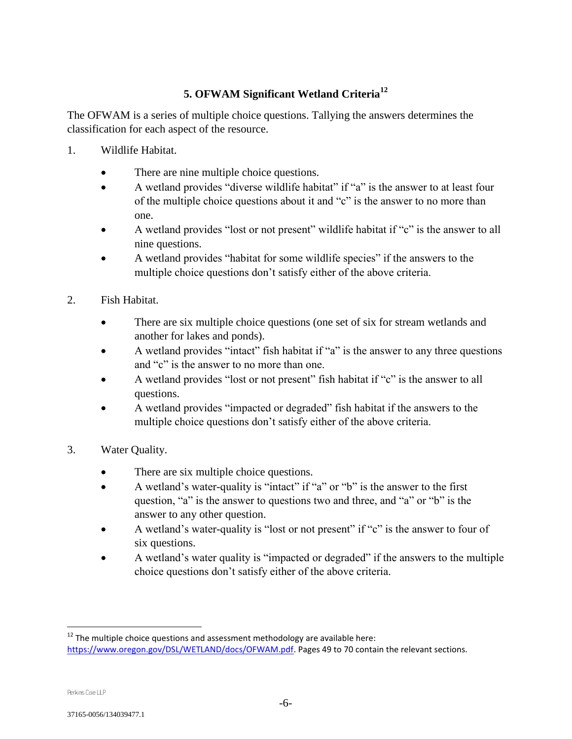## **5. OFWAM Significant Wetland Criteria<sup>12</sup>**

The OFWAM is a series of multiple choice questions. Tallying the answers determines the classification for each aspect of the resource.

- 1. Wildlife Habitat.
	- There are nine multiple choice questions.
	- A wetland provides "diverse wildlife habitat" if "a" is the answer to at least four of the multiple choice questions about it and "c" is the answer to no more than one.
	- A wetland provides "lost or not present" wildlife habitat if "c" is the answer to all nine questions.
	- A wetland provides "habitat for some wildlife species" if the answers to the multiple choice questions don't satisfy either of the above criteria.
- 2. Fish Habitat.
	- There are six multiple choice questions (one set of six for stream wetlands and another for lakes and ponds).
	- A wetland provides "intact" fish habitat if "a" is the answer to any three questions and "c" is the answer to no more than one.
	- A wetland provides "lost or not present" fish habitat if "c" is the answer to all questions.
	- A wetland provides "impacted or degraded" fish habitat if the answers to the multiple choice questions don't satisfy either of the above criteria.
- 3. Water Quality.
	- There are six multiple choice questions.
	- A wetland's water-quality is "intact" if "a" or "b" is the answer to the first question, "a" is the answer to questions two and three, and "a" or "b" is the answer to any other question.
	- A wetland's water-quality is "lost or not present" if " $c$ " is the answer to four of six questions.
	- A wetland's water quality is "impacted or degraded" if the answers to the multiple choice questions don't satisfy either of the above criteria.

 $12$  The multiple choice questions and assessment methodology are available here: [https://www.oregon.gov/DSL/WETLAND/docs/OFWAM.pdf.](https://www.oregon.gov/DSL/WETLAND/docs/OFWAM.pdf) Pages 49 to 70 contain the relevant sections.